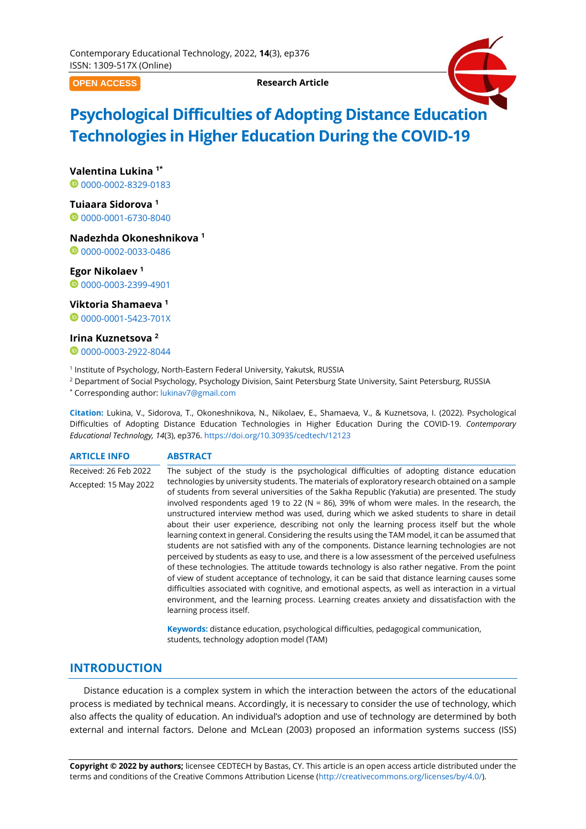**OPEN ACCESS**

**Research Article**



# **Psychological Difficulties of Adopting Distance Education Technologies in Higher Education During the COVID-19**

**Valentina Lukina 1\***

00000002-8329-0183

**Tuiaara Sidorova <sup>1</sup>** [0000-0001-6730-8040](https://orcid.org/0000-0001-6730-8040)

## **Nadezhda Okoneshnikova <sup>1</sup>**

0[0000-0002-0033-0486](https://orcid.org/0000-0002-0033-0486)

# **Egor Nikolaev <sup>1</sup>**

[0000-0003-2399-4901](https://orcid.org/0000-0003-2399-4901)

#### **Viktoria Shamaeva <sup>1</sup>**

**0[0000-0001-5423-701X](https://orcid.org/0000-0001-5423-701X)** 

#### **Irina Kuznetsova <sup>2</sup>**

0[0000-0003-2922-8044](https://orcid.org/0000-0003-2922-8044)

1 Institute of Psychology, North-Eastern Federal University, Yakutsk, RUSSIA

<sup>2</sup> Department of Social Psychology, Psychology Division, Saint Petersburg State University, Saint Petersburg, RUSSIA

\* Corresponding author: [lukinav7@gmail.com](mailto:lukinav7@gmail.com)

**Citation:** Lukina, V., Sidorova, T., Okoneshnikova, N., Nikolaev, E., Shamaeva, V., & Kuznetsova, I. (2022). Psychological Difficulties of Adopting Distance Education Technologies in Higher Education During the COVID-19. *Contemporary Educational Technology, 14*(3), ep376. <https://doi.org/10.30935/cedtech/12123>

#### **ARTICLE INFO ABSTRACT**

Received: 26 Feb 2022 Accepted: 15 May 2022 The subject of the study is the psychological difficulties of adopting distance education technologies by university students. The materials of exploratory research obtained on a sample of students from several universities of the Sakha Republic (Yakutia) are presented. The study involved respondents aged 19 to 22 ( $N = 86$ ), 39% of whom were males. In the research, the unstructured interview method was used, during which we asked students to share in detail about their user experience, describing not only the learning process itself but the whole learning context in general. Considering the results using the TAM model, it can be assumed that students are not satisfied with any of the components. Distance learning technologies are not perceived by students as easy to use, and there is a low assessment of the perceived usefulness of these technologies. The attitude towards technology is also rather negative. From the point of view of student acceptance of technology, it can be said that distance learning causes some difficulties associated with cognitive, and emotional aspects, as well as interaction in a virtual environment, and the learning process. Learning creates anxiety and dissatisfaction with the learning process itself.

> **Keywords:** distance education, psychological difficulties, pedagogical communication, students, technology adoption model (TAM)

## **INTRODUCTION**

Distance education is a complex system in which the interaction between the actors of the educational process is mediated by technical means. Accordingly, it is necessary to consider the use of technology, which also affects the quality of education. An individual's adoption and use of technology are determined by both external and internal factors. Delone and McLean (2003) proposed an information systems success (ISS)

**Copyright © 2022 by authors;** licensee CEDTECH by Bastas, CY. This article is an open access article distributed under the terms and conditions of the Creative Commons Attribution License [\(http://creativecommons.org/licenses/by/4.0/\)](http://creativecommons.org/licenses/by/4.0/).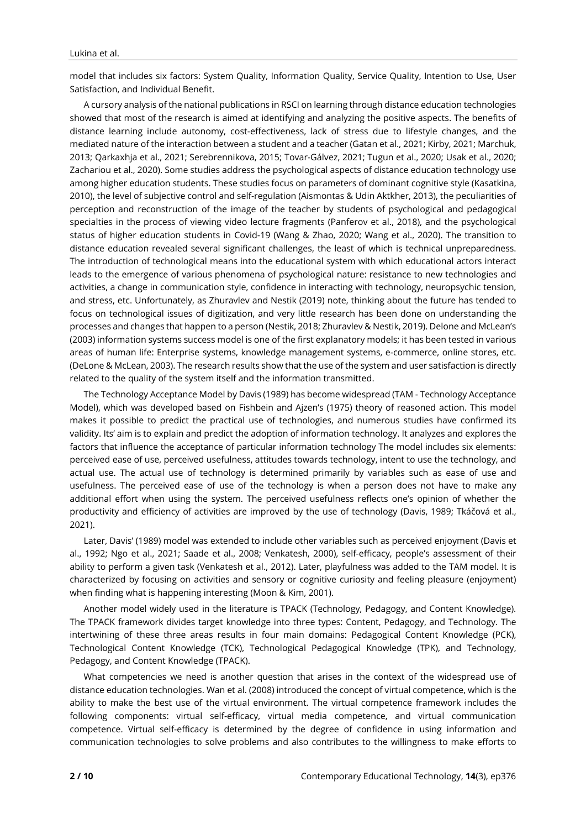model that includes six factors: System Quality, Information Quality, Service Quality, Intention to Use, User Satisfaction, and Individual Benefit.

A cursory analysis of the national publications in RSCI on learning through distance education technologies showed that most of the research is aimed at identifying and analyzing the positive aspects. The benefits of distance learning include autonomy, cost-effectiveness, lack of stress due to lifestyle changes, and the mediated nature of the interaction between a student and a teacher (Gatan et al., 2021; Kirby, 2021; Marchuk, 2013; Qarkaxhja et al., 2021; Serebrennikova, 2015; Tovar-Gálvez, 2021; Tugun et al., 2020; Usak et al., 2020; Zachariou et al., 2020). Some studies address the psychological aspects of distance education technology use among higher education students. These studies focus on parameters of dominant cognitive style (Kasatkina, 2010), the level of subjective control and self-regulation (Aismontas & Udin Aktkher, 2013), the peculiarities of perception and reconstruction of the image of the teacher by students of psychological and pedagogical specialties in the process of viewing video lecture fragments (Panferov et al., 2018), and the psychological status of higher education students in Covid-19 (Wang & Zhao, 2020; Wang et al., 2020). The transition to distance education revealed several significant challenges, the least of which is technical unpreparedness. The introduction of technological means into the educational system with which educational actors interact leads to the emergence of various phenomena of psychological nature: resistance to new technologies and activities, a change in communication style, confidence in interacting with technology, neuropsychic tension, and stress, etc. Unfortunately, as Zhuravlev and Nestik (2019) note, thinking about the future has tended to focus on technological issues of digitization, and very little research has been done on understanding the processes and changes that happen to a person (Nestik, 2018; Zhuravlev & Nestik, 2019). Delone and McLean's (2003) information systems success model is one of the first explanatory models; it has been tested in various areas of human life: Enterprise systems, knowledge management systems, e-commerce, online stores, etc. (DeLone & McLean, 2003). The research results show that the use of the system and user satisfaction is directly related to the quality of the system itself and the information transmitted.

The Technology Acceptance Model by Davis (1989) has become widespread (TAM - Technology Acceptance Model), which was developed based on Fishbein and Ajzen's (1975) theory of reasoned action. This model makes it possible to predict the practical use of technologies, and numerous studies have confirmed its validity. Its' aim is to explain and predict the adoption of information technology. It analyzes and explores the factors that influence the acceptance of particular information technology The model includes six elements: perceived ease of use, perceived usefulness, attitudes towards technology, intent to use the technology, and actual use. The actual use of technology is determined primarily by variables such as ease of use and usefulness. The perceived ease of use of the technology is when a person does not have to make any additional effort when using the system. The perceived usefulness reflects one's opinion of whether the productivity and efficiency of activities are improved by the use of technology (Davis, 1989; Tkáčová et al., 2021).

Later, Davis' (1989) model was extended to include other variables such as perceived enjoyment (Davis et al., 1992; Ngo et al., 2021; Saade et al., 2008; Venkatesh, 2000), self-efficacy, people's assessment of their ability to perform a given task (Venkatesh et al., 2012). Later, playfulness was added to the TAM model. It is characterized by focusing on activities and sensory or cognitive curiosity and feeling pleasure (enjoyment) when finding what is happening interesting (Moon & Kim, 2001).

Another model widely used in the literature is TPACK (Technology, Pedagogy, and Content Knowledge). The TPACK framework divides target knowledge into three types: Content, Pedagogy, and Technology. The intertwining of these three areas results in four main domains: Pedagogical Content Knowledge (PCK), Technological Content Knowledge (TCK), Technological Pedagogical Knowledge (TPK), and Technology, Pedagogy, and Content Knowledge (TPACK).

What competencies we need is another question that arises in the context of the widespread use of distance education technologies. Wan et al. (2008) introduced the concept of virtual competence, which is the ability to make the best use of the virtual environment. The virtual competence framework includes the following components: virtual self-efficacy, virtual media competence, and virtual communication competence. Virtual self-efficacy is determined by the degree of confidence in using information and communication technologies to solve problems and also contributes to the willingness to make efforts to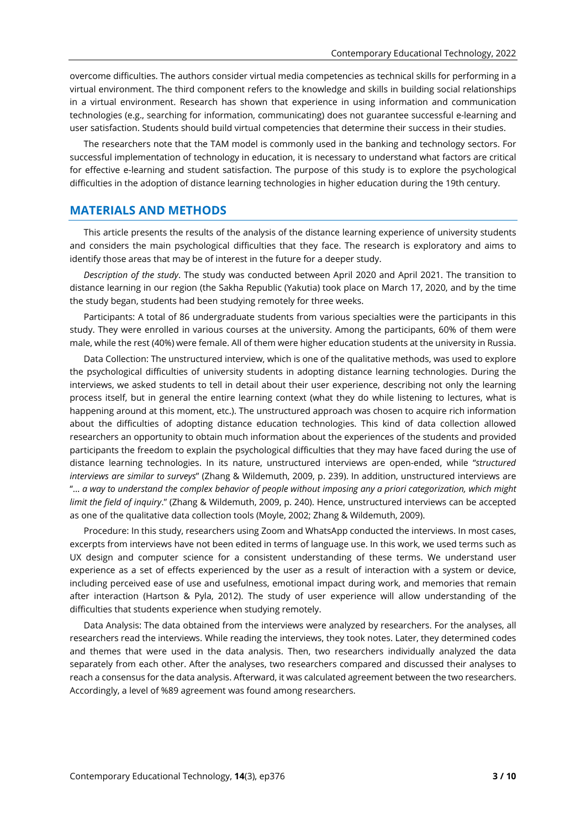overcome difficulties. The authors consider virtual media competencies as technical skills for performing in a virtual environment. The third component refers to the knowledge and skills in building social relationships in a virtual environment. Research has shown that experience in using information and communication technologies (e.g., searching for information, communicating) does not guarantee successful e-learning and user satisfaction. Students should build virtual competencies that determine their success in their studies.

The researchers note that the TAM model is commonly used in the banking and technology sectors. For successful implementation of technology in education, it is necessary to understand what factors are critical for effective e-learning and student satisfaction. The purpose of this study is to explore the psychological difficulties in the adoption of distance learning technologies in higher education during the 19th century.

# **MATERIALS AND METHODS**

This article presents the results of the analysis of the distance learning experience of university students and considers the main psychological difficulties that they face. The research is exploratory and aims to identify those areas that may be of interest in the future for a deeper study.

*Description of the study*. The study was conducted between April 2020 and April 2021. The transition to distance learning in our region (the Sakha Republic (Yakutia) took place on March 17, 2020, and by the time the study began, students had been studying remotely for three weeks.

Participants: A total of 86 undergraduate students from various specialties were the participants in this study. They were enrolled in various courses at the university. Among the participants, 60% of them were male, while the rest (40%) were female. All of them were higher education students at the university in Russia.

Data Collection: The unstructured interview, which is one of the qualitative methods, was used to explore the psychological difficulties of university students in adopting distance learning technologies. During the interviews, we asked students to tell in detail about their user experience, describing not only the learning process itself, but in general the entire learning context (what they do while listening to lectures, what is happening around at this moment, etc.). The unstructured approach was chosen to acquire rich information about the difficulties of adopting distance education technologies. This kind of data collection allowed researchers an opportunity to obtain much information about the experiences of the students and provided participants the freedom to explain the psychological difficulties that they may have faced during the use of distance learning technologies. In its nature, unstructured interviews are open-ended, while "*structured interviews are similar to surveys*" (Zhang & Wildemuth, 2009, p. 239). In addition, unstructured interviews are "... a way to understand the complex behavior of people without imposing any a priori categorization, which might *limit the field of inquiry*." (Zhang & Wildemuth, 2009, p. 240). Hence, unstructured interviews can be accepted as one of the qualitative data collection tools (Moyle, 2002; Zhang & Wildemuth, 2009).

Procedure: In this study, researchers using Zoom and WhatsApp conducted the interviews. In most cases, excerpts from interviews have not been edited in terms of language use. In this work, we used terms such as UX design and computer science for a consistent understanding of these terms. We understand user experience as a set of effects experienced by the user as a result of interaction with a system or device, including perceived ease of use and usefulness, emotional impact during work, and memories that remain after interaction (Hartson & Pyla, 2012). The study of user experience will allow understanding of the difficulties that students experience when studying remotely.

Data Analysis: The data obtained from the interviews were analyzed by researchers. For the analyses, all researchers read the interviews. While reading the interviews, they took notes. Later, they determined codes and themes that were used in the data analysis. Then, two researchers individually analyzed the data separately from each other. After the analyses, two researchers compared and discussed their analyses to reach a consensus for the data analysis. Afterward, it was calculated agreement between the two researchers. Accordingly, a level of %89 agreement was found among researchers.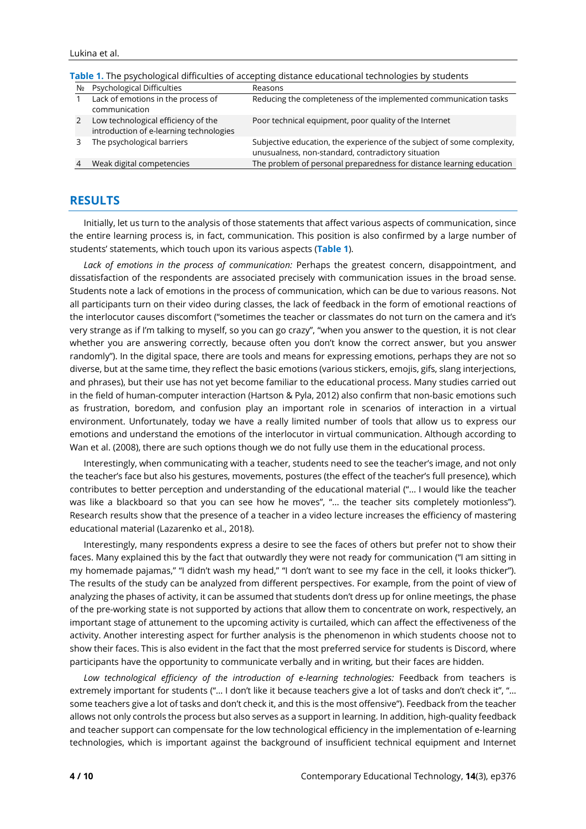| <u>, www.array.com/array.com/arrivalent/array/array/array.com/array.com/array/array/array/array/array/</u> |                                                                                |                                                                                                                               |
|------------------------------------------------------------------------------------------------------------|--------------------------------------------------------------------------------|-------------------------------------------------------------------------------------------------------------------------------|
| Nº                                                                                                         | Psychological Difficulties                                                     | Reasons                                                                                                                       |
|                                                                                                            | Lack of emotions in the process of<br>communication                            | Reducing the completeness of the implemented communication tasks                                                              |
|                                                                                                            | Low technological efficiency of the<br>introduction of e-learning technologies | Poor technical equipment, poor quality of the Internet                                                                        |
|                                                                                                            | The psychological barriers                                                     | Subjective education, the experience of the subject of some complexity,<br>unusualness, non-standard, contradictory situation |
|                                                                                                            | Weak digital competencies                                                      | The problem of personal preparedness for distance learning education                                                          |

**Table 1.** The psychological difficulties of accepting distance educational technologies by students

## **RESULTS**

Initially, let us turn to the analysis of those statements that affect various aspects of communication, since the entire learning process is, in fact, communication. This position is also confirmed by a large number of students' statements, which touch upon its various aspects (**Table 1**).

*Lack of emotions in the process of communication:* Perhaps the greatest concern, disappointment, and dissatisfaction of the respondents are associated precisely with communication issues in the broad sense. Students note a lack of emotions in the process of communication, which can be due to various reasons. Not all participants turn on their video during classes, the lack of feedback in the form of emotional reactions of the interlocutor causes discomfort ("sometimes the teacher or classmates do not turn on the camera and it's very strange as if I'm talking to myself, so you can go crazy", "when you answer to the question, it is not clear whether you are answering correctly, because often you don't know the correct answer, but you answer randomly"). In the digital space, there are tools and means for expressing emotions, perhaps they are not so diverse, but at the same time, they reflect the basic emotions (various stickers, emojis, gifs, slang interjections, and phrases), but their use has not yet become familiar to the educational process. Many studies carried out in the field of human-computer interaction (Hartson & Pyla, 2012) also confirm that non-basic emotions such as frustration, boredom, and confusion play an important role in scenarios of interaction in a virtual environment. Unfortunately, today we have a really limited number of tools that allow us to express our emotions and understand the emotions of the interlocutor in virtual communication. Although according to Wan et al. (2008), there are such options though we do not fully use them in the educational process.

Interestingly, when communicating with a teacher, students need to see the teacher's image, and not only the teacher's face but also his gestures, movements, postures (the effect of the teacher's full presence), which contributes to better perception and understanding of the educational material ("... I would like the teacher was like a blackboard so that you can see how he moves", "... the teacher sits completely motionless"). Research results show that the presence of a teacher in a video lecture increases the efficiency of mastering educational material (Lazarenko et al., 2018).

Interestingly, many respondents express a desire to see the faces of others but prefer not to show their faces. Many explained this by the fact that outwardly they were not ready for communication ("I am sitting in my homemade pajamas," "I didn't wash my head," "I don't want to see my face in the cell, it looks thicker"). The results of the study can be analyzed from different perspectives. For example, from the point of view of analyzing the phases of activity, it can be assumed that students don't dress up for online meetings, the phase of the pre-working state is not supported by actions that allow them to concentrate on work, respectively, an important stage of attunement to the upcoming activity is curtailed, which can affect the effectiveness of the activity. Another interesting aspect for further analysis is the phenomenon in which students choose not to show their faces. This is also evident in the fact that the most preferred service for students is Discord, where participants have the opportunity to communicate verbally and in writing, but their faces are hidden.

*Low technological efficiency of the introduction of e-learning technologies:* Feedback from teachers is extremely important for students ("... I don't like it because teachers give a lot of tasks and don't check it", "... some teachers give a lot of tasks and don't check it, and this is the most offensive"). Feedback from the teacher allows not only controls the process but also serves as a support in learning. In addition, high-quality feedback and teacher support can compensate for the low technological efficiency in the implementation of e-learning technologies, which is important against the background of insufficient technical equipment and Internet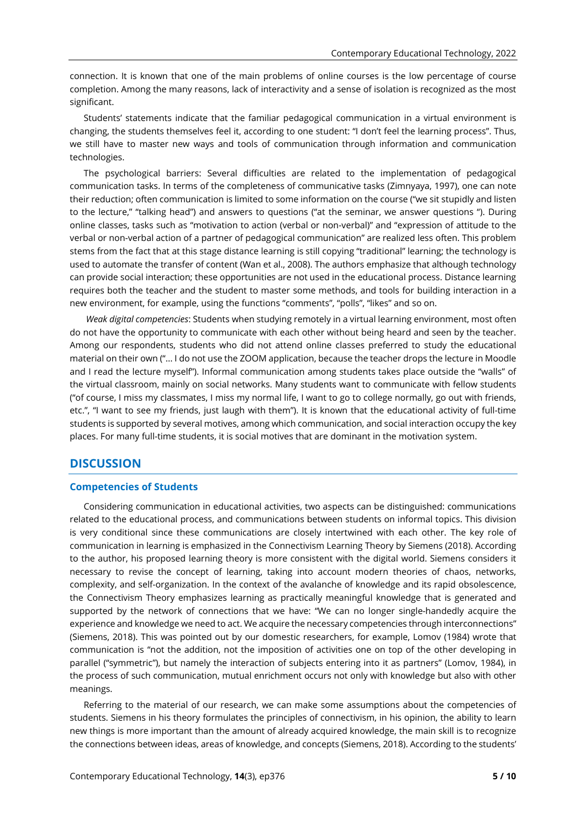connection. It is known that one of the main problems of online courses is the low percentage of course completion. Among the many reasons, lack of interactivity and a sense of isolation is recognized as the most significant.

Students' statements indicate that the familiar pedagogical communication in a virtual environment is changing, the students themselves feel it, according to one student: "I don't feel the learning process". Thus, we still have to master new ways and tools of communication through information and communication technologies.

The psychological barriers: Several difficulties are related to the implementation of pedagogical communication tasks. In terms of the completeness of communicative tasks (Zimnyaya, 1997), one can note their reduction; often communication is limited to some information on the course ("we sit stupidly and listen to the lecture," "talking head") and answers to questions ("at the seminar, we answer questions "). During online classes, tasks such as "motivation to action (verbal or non-verbal)" and "expression of attitude to the verbal or non-verbal action of a partner of pedagogical communication" are realized less often. This problem stems from the fact that at this stage distance learning is still copying "traditional" learning; the technology is used to automate the transfer of content (Wan et al., 2008). The authors emphasize that although technology can provide social interaction; these opportunities are not used in the educational process. Distance learning requires both the teacher and the student to master some methods, and tools for building interaction in a new environment, for example, using the functions "comments", "polls", "likes" and so on.

*Weak digital competencies*: Students when studying remotely in a virtual learning environment, most often do not have the opportunity to communicate with each other without being heard and seen by the teacher. Among our respondents, students who did not attend online classes preferred to study the educational material on their own ("... I do not use the ZOOM application, because the teacher drops the lecture in Moodle and I read the lecture myself"). Informal communication among students takes place outside the "walls" of the virtual classroom, mainly on social networks. Many students want to communicate with fellow students ("of course, I miss my classmates, I miss my normal life, I want to go to college normally, go out with friends, etc.", "I want to see my friends, just laugh with them"). It is known that the educational activity of full-time students is supported by several motives, among which communication, and social interaction occupy the key places. For many full-time students, it is social motives that are dominant in the motivation system.

## **DISCUSSION**

#### **Competencies of Students**

Considering communication in educational activities, two aspects can be distinguished: communications related to the educational process, and communications between students on informal topics. This division is very conditional since these communications are closely intertwined with each other. The key role of communication in learning is emphasized in the Connectivism Learning Theory by Siemens (2018). According to the author, his proposed learning theory is more consistent with the digital world. Siemens considers it necessary to revise the concept of learning, taking into account modern theories of chaos, networks, complexity, and self-organization. In the context of the avalanche of knowledge and its rapid obsolescence, the Connectivism Theory emphasizes learning as practically meaningful knowledge that is generated and supported by the network of connections that we have: "We can no longer single-handedly acquire the experience and knowledge we need to act. We acquire the necessary competencies through interconnections" (Siemens, 2018). This was pointed out by our domestic researchers, for example, Lomov (1984) wrote that communication is "not the addition, not the imposition of activities one on top of the other developing in parallel ("symmetric"), but namely the interaction of subjects entering into it as partners" (Lomov, 1984), in the process of such communication, mutual enrichment occurs not only with knowledge but also with other meanings.

Referring to the material of our research, we can make some assumptions about the competencies of students. Siemens in his theory formulates the principles of connectivism, in his opinion, the ability to learn new things is more important than the amount of already acquired knowledge, the main skill is to recognize the connections between ideas, areas of knowledge, and concepts (Siemens, 2018). According to the students'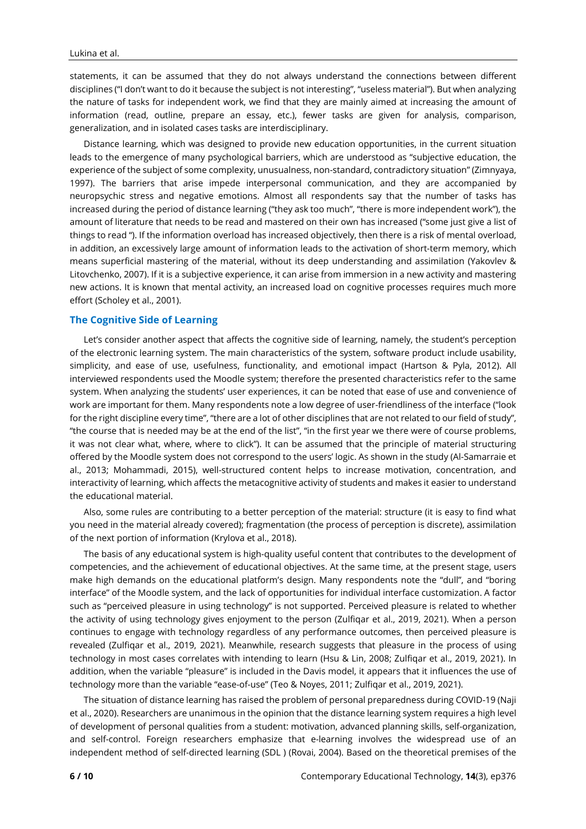statements, it can be assumed that they do not always understand the connections between different disciplines ("I don't want to do it because the subject is not interesting", "useless material"). But when analyzing the nature of tasks for independent work, we find that they are mainly aimed at increasing the amount of information (read, outline, prepare an essay, etc.), fewer tasks are given for analysis, comparison, generalization, and in isolated cases tasks are interdisciplinary.

Distance learning, which was designed to provide new education opportunities, in the current situation leads to the emergence of many psychological barriers, which are understood as "subjective education, the experience of the subject of some complexity, unusualness, non-standard, contradictory situation" (Zimnyaya, 1997). The barriers that arise impede interpersonal communication, and they are accompanied by neuropsychic stress and negative emotions. Almost all respondents say that the number of tasks has increased during the period of distance learning ("they ask too much", "there is more independent work"), the amount of literature that needs to be read and mastered on their own has increased ("some just give a list of things to read "). If the information overload has increased objectively, then there is a risk of mental overload, in addition, an excessively large amount of information leads to the activation of short-term memory, which means superficial mastering of the material, without its deep understanding and assimilation (Yakovlev & Litovchenko, 2007). If it is a subjective experience, it can arise from immersion in a new activity and mastering new actions. It is known that mental activity, an increased load on cognitive processes requires much more effort (Scholey et al., 2001).

## **The Cognitive Side of Learning**

Let's consider another aspect that affects the cognitive side of learning, namely, the student's perception of the electronic learning system. The main characteristics of the system, software product include usability, simplicity, and ease of use, usefulness, functionality, and emotional impact (Hartson & Pyla, 2012). All interviewed respondents used the Moodle system; therefore the presented characteristics refer to the same system. When analyzing the students' user experiences, it can be noted that ease of use and convenience of work are important for them. Many respondents note a low degree of user-friendliness of the interface ("look for the right discipline every time", "there are a lot of other disciplines that are not related to our field of study", "the course that is needed may be at the end of the list", "in the first year we there were of course problems, it was not clear what, where, where to click"). It can be assumed that the principle of material structuring offered by the Moodle system does not correspond to the users' logic. As shown in the study (Al-Samarraie et al., 2013; Mohammadi, 2015), well-structured content helps to increase motivation, concentration, and interactivity of learning, which affects the metacognitive activity of students and makes it easier to understand the educational material.

Also, some rules are contributing to a better perception of the material: structure (it is easy to find what you need in the material already covered); fragmentation (the process of perception is discrete), assimilation of the next portion of information (Krylova et al., 2018).

The basis of any educational system is high-quality useful content that contributes to the development of competencies, and the achievement of educational objectives. At the same time, at the present stage, users make high demands on the educational platform's design. Many respondents note the "dull", and "boring interface" of the Moodle system, and the lack of opportunities for individual interface customization. A factor such as "perceived pleasure in using technology" is not supported. Perceived pleasure is related to whether the activity of using technology gives enjoyment to the person (Zulfiqar et al., 2019, 2021). When a person continues to engage with technology regardless of any performance outcomes, then perceived pleasure is revealed (Zulfiqar et al., 2019, 2021). Meanwhile, research suggests that pleasure in the process of using technology in most cases correlates with intending to learn (Hsu & Lin, 2008; Zulfiqar et al., 2019, 2021). In addition, when the variable "pleasure" is included in the Davis model, it appears that it influences the use of technology more than the variable "ease-of-use" (Teo & Noyes, 2011; Zulfiqar et al., 2019, 2021).

The situation of distance learning has raised the problem of personal preparedness during COVID-19 (Naji et al., 2020). Researchers are unanimous in the opinion that the distance learning system requires a high level of development of personal qualities from a student: motivation, advanced planning skills, self-organization, and self-control. Foreign researchers emphasize that e-learning involves the widespread use of an independent method of self-directed learning (SDL ) (Rovai, 2004). Based on the theoretical premises of the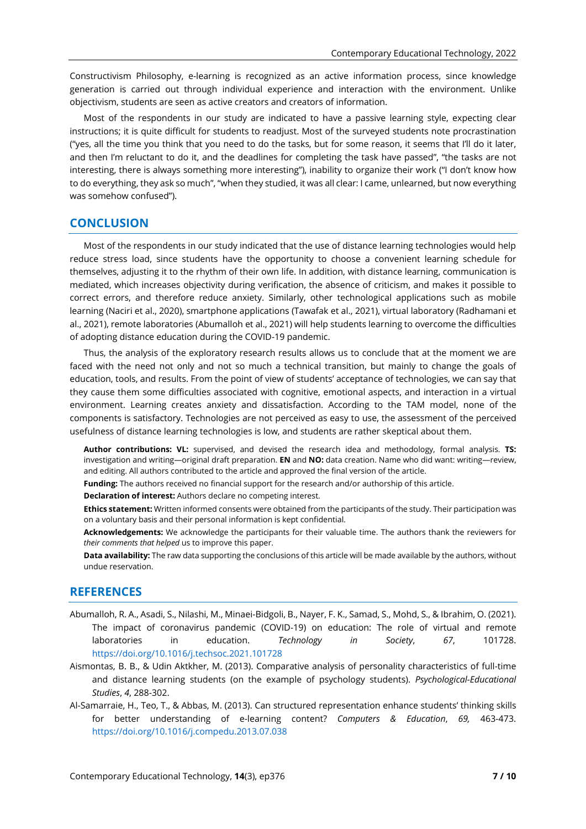Constructivism Philosophy, e-learning is recognized as an active information process, since knowledge generation is carried out through individual experience and interaction with the environment. Unlike objectivism, students are seen as active creators and creators of information.

Most of the respondents in our study are indicated to have a passive learning style, expecting clear instructions; it is quite difficult for students to readjust. Most of the surveyed students note procrastination ("yes, all the time you think that you need to do the tasks, but for some reason, it seems that I'll do it later, and then I'm reluctant to do it, and the deadlines for completing the task have passed", "the tasks are not interesting, there is always something more interesting"), inability to organize their work ("I don't know how to do everything, they ask so much", "when they studied, it was all clear: I came, unlearned, but now everything was somehow confused").

## **CONCLUSION**

Most of the respondents in our study indicated that the use of distance learning technologies would help reduce stress load, since students have the opportunity to choose a convenient learning schedule for themselves, adjusting it to the rhythm of their own life. In addition, with distance learning, communication is mediated, which increases objectivity during verification, the absence of criticism, and makes it possible to correct errors, and therefore reduce anxiety. Similarly, other technological applications such as mobile learning (Naciri et al., 2020), smartphone applications (Tawafak et al., 2021), virtual laboratory (Radhamani et al., 2021), remote laboratories (Abumalloh et al., 2021) will help students learning to overcome the difficulties of adopting distance education during the COVID-19 pandemic.

Thus, the analysis of the exploratory research results allows us to conclude that at the moment we are faced with the need not only and not so much a technical transition, but mainly to change the goals of education, tools, and results. From the point of view of students' acceptance of technologies, we can say that they cause them some difficulties associated with cognitive, emotional aspects, and interaction in a virtual environment. Learning creates anxiety and dissatisfaction. According to the TAM model, none of the components is satisfactory. Technologies are not perceived as easy to use, the assessment of the perceived usefulness of distance learning technologies is low, and students are rather skeptical about them.

**Author contributions: VL:** supervised, and devised the research idea and methodology, formal analysis. **TS:** investigation and writing—original draft preparation. **EN** and **NO:** data creation. Name who did want: writing—review, and editing. All authors contributed to the article and approved the final version of the article.

**Funding:** The authors received no financial support for the research and/or authorship of this article.

**Declaration of interest:** Authors declare no competing interest.

**Ethics statement:** Written informed consents were obtained from the participants of the study. Their participation was on a voluntary basis and their personal information is kept confidential.

**Acknowledgements:** We acknowledge the participants for their valuable time. The authors thank the reviewers for *their comments that helped* us to improve this paper.

**Data availability:** The raw data supporting the conclusions of this article will be made available by the authors, without undue reservation.

## **REFERENCES**

- Abumalloh, R. A., Asadi, S., Nilashi, M., Minaei-Bidgoli, B., Nayer, F. K., Samad, S., Mohd, S., & Ibrahim, O. (2021). The impact of coronavirus pandemic (COVID-19) on education: The role of virtual and remote laboratories in education. *Technology in Society*, *67*, 101728. <https://doi.org/10.1016/j.techsoc.2021.101728>
- Aismontas, B. B., & Udin Aktkher, M. (2013). Comparative analysis of personality characteristics of full-time and distance learning students (on the example of psychology students). *Psychological-Educational Studies*, *4*, 288-302.
- Al-Samarraie, H., Teo, T., & Abbas, M. (2013). Can structured representation enhance students' thinking skills for better understanding of e-learning content? *Computers & Education*, *69,* 463-473. <https://doi.org/10.1016/j.compedu.2013.07.038>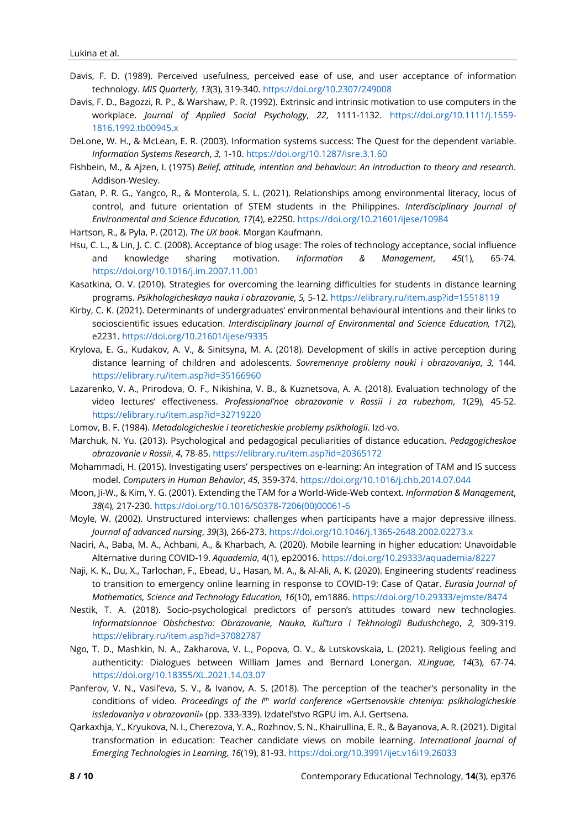- Davis, F. D. (1989). Perceived usefulness, perceived ease of use, and user acceptance of information technology. *MIS Quarterly*, *13*(3), 319-340. <https://doi.org/10.2307/249008>
- Davis, F. D., Bagozzi, R. P., & Warshaw, P. R. (1992). Extrinsic and intrinsic motivation to use computers in the workplace. *Journal of Applied Social Psychology*, *22*, 1111-1132. [https://doi.org/10.1111/j.1559-](https://doi.org/10.1111/j.1559-1816.1992.tb00945.x) [1816.1992.tb00945.x](https://doi.org/10.1111/j.1559-1816.1992.tb00945.x)
- DeLone, W. H., & McLean, E. R. (2003). Information systems success: The Quest for the dependent variable. *Information Systems Research*, *3,* 1-10. <https://doi.org/10.1287/isre.3.1.60>
- Fishbein, M., & Ajzen, I. (1975) *Belief, attitude, intention and behaviour: An introduction to theory and research*. Addison-Wesley.
- Gatan, P. R. G., Yangco, R., & Monterola, S. L. (2021). Relationships among environmental literacy, locus of control, and future orientation of STEM students in the Philippines. *Interdisciplinary Journal of Environmental and Science Education, 17*(4), e2250. <https://doi.org/10.21601/ijese/10984>
- Hartson, R., & Pyla, P. (2012). *The UX book*. Morgan Kaufmann.
- Hsu, C. L., & Lin, J. C. C. (2008). Acceptance of blog usage: The roles of technology acceptance, social influence and knowledge sharing motivation. *Information & Management*, *45*(1), 65-74. <https://doi.org/10.1016/j.im.2007.11.001>
- Kasatkina, O. V. (2010). Strategies for overcoming the learning difficulties for students in distance learning programs. *Psikhologicheskaya nauka i obrazovanie*, *5,* 5-12. <https://elibrary.ru/item.asp?id=15518119>
- Kirby, C. K. (2021). Determinants of undergraduates' environmental behavioural intentions and their links to socioscientific issues education. *Interdisciplinary Journal of Environmental and Science Education, 17*(2), e2231. <https://doi.org/10.21601/ijese/9335>
- Krylova, E. G., Kudakov, A. V., & Sinitsyna, M. A. (2018). Development of skills in active perception during distance learning of children and adolescents. *Sovremennye problemy nauki i obrazovaniya*, *3,* 144. <https://elibrary.ru/item.asp?id=35166960>
- Lazarenko, V. A., Prirodova, O. F., Nikishina, V. B., & Kuznetsova, A. A. (2018). Evaluation technology of the video lectures' effectiveness. *Professional'noe obrazovanie v Rossii i za rubezhom*, *1*(29), 45-52. <https://elibrary.ru/item.asp?id=32719220>
- Lomov, B. F. (1984). *Metodologicheskie i teoreticheskie problemy psikhologii*. Izd-vo.
- Marchuk, N. Yu. (2013). Psychological and pedagogical peculiarities of distance education. *Pedagogicheskoe obrazovanie v Rossii*, *4*, 78-85. <https://elibrary.ru/item.asp?id=20365172>
- Mohammadi, H. (2015). Investigating users' perspectives on e-learning: An integration of TAM and IS success model. *Computers in Human Behavior*, *45*, 359-374. <https://doi.org/10.1016/j.chb.2014.07.044>
- Moon, Ji-W., & Kim, Y. G. (2001). Extending the TAM for a World-Wide-Web context. *Information & Management*, *38*(4), 217-230. [https://doi.org/10.1016/S0378-7206\(00\)00061-6](https://doi.org/10.1016/S0378-7206(00)00061-6)
- Moyle, W. (2002). Unstructured interviews: challenges when participants have a major depressive illness. *Journal of advanced nursing*, *39*(3), 266-273. <https://doi.org/10.1046/j.1365-2648.2002.02273.x>
- Naciri, A., Baba, M. A., Achbani, A., & Kharbach, A. (2020). Mobile learning in higher education: Unavoidable Alternative during COVID-19. *Aquademia*, 4(1), ep20016. <https://doi.org/10.29333/aquademia/8227>
- Naji, K. K., Du, X., Tarlochan, F., Ebead, U., Hasan, M. A., & Al-Ali, A. K. (2020). Engineering students' readiness to transition to emergency online learning in response to COVID-19: Case of Qatar. *Eurasia Journal of Mathematics, Science and Technology Education, 16*(10), em1886. <https://doi.org/10.29333/ejmste/8474>
- Nestik, T. A. (2018). Socio-psychological predictors of person's attitudes toward new technologies. *Informatsionnoe Obshchestvo: Obrazovanie, Nauka, Kul'tura i Tekhnologii Budushchego*, *2,* 309-319. <https://elibrary.ru/item.asp?id=37082787>
- Ngo, T. D., Mashkin, N. A., Zakharova, V. L., Popova, O. V., & Lutskovskaia, L. (2021). Religious feeling and authenticity: Dialogues between William James and Bernard Lonergan. *XLinguae, 14*(3), 67-74. <https://doi.org/10.18355/XL.2021.14.03.07>
- Panferov, V. N., Vasil'eva, S. V., & Ivanov, A. S. (2018). The perception of the teacher's personality in the conditions of video. *Proceedings of the I th world conference «Gertsenovskie chteniya: psikhologicheskie issledovaniya v obrazovanii»* (pp. 333-339). Izdatel'stvo RGPU im. A.I. Gertsena.
- Qarkaxhja, Y., Kryukova, N. I., Cherezova, Y. A., Rozhnov, S. N., Khairullina, E. R., & Bayanova, A. R. (2021). Digital transformation in education: Teacher candidate views on mobile learning. *International Journal of Emerging Technologies in Learning, 16*(19), 81-93. <https://doi.org/10.3991/ijet.v16i19.26033>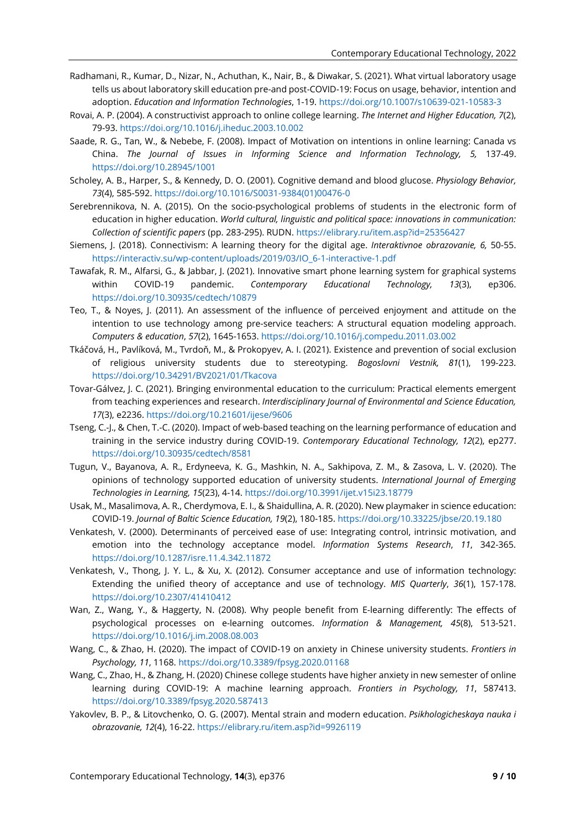- Radhamani, R., Kumar, D., Nizar, N., Achuthan, K., Nair, B., & Diwakar, S. (2021). What virtual laboratory usage tells us about laboratory skill education pre-and post-COVID-19: Focus on usage, behavior, intention and adoption. *Education and Information Technologies*, 1-19. <https://doi.org/10.1007/s10639-021-10583-3>
- Rovai, A. P. (2004). A constructivist approach to online college learning. *The Internet and Higher Education, 7*(2), 79-93. <https://doi.org/10.1016/j.iheduc.2003.10.002>
- Saade, R. G., Tan, W., & Nebebe, F. (2008). Impact of Motivation on intentions in online learning: Canada vs China. *The Journal of Issues in Informing Science and Information Technology, 5,* 137-49. <https://doi.org/10.28945/1001>
- Scholey, A. B., Harper, S., & Kennedy, D. O. (2001). Cognitive demand and blood glucose. *Physiology Behavior, 73*(4), 585-592. [https://doi.org/10.1016/S0031-9384\(01\)00476-0](https://doi.org/10.1016/S0031-9384(01)00476-0)
- Serebrennikova, N. A. (2015). On the socio-psychological problems of students in the electronic form of education in higher education. *World cultural, linguistic and political space: innovations in communication: Collection of scientific papers* (pp. 283-295). RUDN. <https://elibrary.ru/item.asp?id=25356427>
- Siemens, J. (2018). Connectivism: A learning theory for the digital age. *Interaktivnoe obrazovanie, 6,* 50-55. [https://interactiv.su/wp-content/uploads/2019/03/IO\\_6-1-interactive-1.pdf](https://interactiv.su/wp-content/uploads/2019/03/IO_6-1-interactive-1.pdf)
- Tawafak, R. M., Alfarsi, G., & Jabbar, J. (2021). Innovative smart phone learning system for graphical systems within COVID-19 pandemic. *Contemporary Educational Technology, 13*(3), ep306. <https://doi.org/10.30935/cedtech/10879>
- Teo, T., & Noyes, J. (2011). An assessment of the influence of perceived enjoyment and attitude on the intention to use technology among pre-service teachers: A structural equation modeling approach. *Computers & education*, *57*(2), 1645-1653. <https://doi.org/10.1016/j.compedu.2011.03.002>
- Tkáčová, H., Pavlíková, M., Tvrdoň, M., & Prokopyev, A. I. (2021). Existence and prevention of social exclusion of religious university students due to stereotyping. *Bogoslovni Vestnik, 81*(1), 199-223. <https://doi.org/10.34291/BV2021/01/Tkacova>
- Tovar-Gálvez, J. C. (2021). Bringing environmental education to the curriculum: Practical elements emergent from teaching experiences and research. *Interdisciplinary Journal of Environmental and Science Education, 17*(3), e2236. <https://doi.org/10.21601/ijese/9606>
- Tseng, C.-J., & Chen, T.-C. (2020). Impact of web-based teaching on the learning performance of education and training in the service industry during COVID-19. *Contemporary Educational Technology, 12*(2), ep277. <https://doi.org/10.30935/cedtech/8581>
- Tugun, V., Bayanova, A. R., Erdyneeva, K. G., Mashkin, N. A., Sakhipova, Z. M., & Zasova, L. V. (2020). The opinions of technology supported education of university students. *International Journal of Emerging Technologies in Learning, 15*(23), 4-14. <https://doi.org/10.3991/ijet.v15i23.18779>
- Usak, M., Masalimova, A. R., Cherdymova, E. I., & Shaidullina, A. R. (2020). New playmaker in science education: COVID-19. *Journal of Baltic Science Education, 19*(2), 180-185. <https://doi.org/10.33225/jbse/20.19.180>
- Venkatesh, V. (2000). Determinants of perceived ease of use: Integrating control, intrinsic motivation, and emotion into the technology acceptance model. *Information Systems Research*, *11*, 342-365. <https://doi.org/10.1287/isre.11.4.342.11872>
- Venkatesh, V., Thong, J. Y. L., & Xu, X. (2012). Consumer acceptance and use of information technology: Extending the unified theory of acceptance and use of technology. *MIS Quarterly*, *36*(1), 157-178. <https://doi.org/10.2307/41410412>
- Wan, Z., Wang, Y., & Haggerty, N. (2008). Why people benefit from E-learning differently: The effects of psychological processes on e-learning outcomes. *Information & Management, 45*(8), 513-521. <https://doi.org/10.1016/j.im.2008.08.003>
- Wang, C., & Zhao, H. (2020). The impact of COVID-19 on anxiety in Chinese university students. *Frontiers in Psychology, 11*, 1168. <https://doi.org/10.3389/fpsyg.2020.01168>
- Wang, C., Zhao, H., & Zhang, H. (2020) Chinese college students have higher anxiety in new semester of online learning during COVID-19: A machine learning approach. *Frontiers in Psychology, 11*, 587413. <https://doi.org/10.3389/fpsyg.2020.587413>
- Yakovlev, B. P., & Litovchenko, O. G. (2007). Mental strain and modern education. *Psikhologicheskaya nauka i obrazovanie, 12*(4), 16-22. <https://elibrary.ru/item.asp?id=9926119>